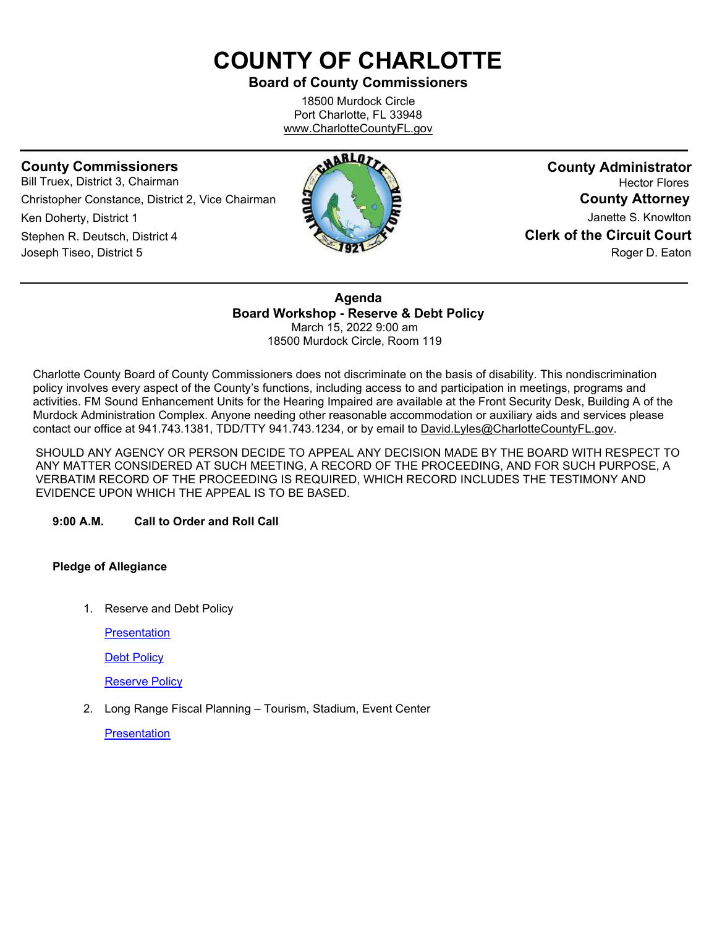# **COUNTY OF CHARLOTTE**

## **Board of County Commissioners**

18500 Murdock Circle Port Charlotte, FL 33948 [www.CharlotteCountyFL.gov](http://www.charlottecountyfl.gov/)

## **County Commissioners**

Bill Truex, District 3, Chairman Christopher Constance, District 2, Vice Chairman Ken Doherty, District 1 Stephen R. Deutsch, District 4 Joseph Tiseo, District 5



**County Administrator** Hector Flores **County Attorney** Janette S. Knowlton **Clerk of the Circuit Court** Roger D. Eaton

**Agenda Board Workshop - Reserve & Debt Policy** March 15, 2022 9:00 am 18500 Murdock Circle, Room 119

Charlotte County Board of County Commissioners does not discriminate on the basis of disability. This nondiscrimination policy involves every aspect of the County's functions, including access to and participation in meetings, programs and activities. FM Sound Enhancement Units for the Hearing Impaired are available at the Front Security Desk, Building A of the Murdock Administration Complex. Anyone needing other reasonable accommodation or auxiliary aids and services please contact our office at 941.743.1381, TDD/TTY 941.743.1234, or by email to David.Lyles@CharlotteCountyFL.gov.

SHOULD ANY AGENCY OR PERSON DECIDE TO APPEAL ANY DECISION MADE BY THE BOARD WITH RESPECT TO ANY MATTER CONSIDERED AT SUCH MEETING, A RECORD OF THE PROCEEDING, AND FOR SUCH PURPOSE, A VERBATIM RECORD OF THE PROCEEDING IS REQUIRED, WHICH RECORD INCLUDES THE TESTIMONY AND EVIDENCE UPON WHICH THE APPEAL IS TO BE BASED.

#### **9:00 A.M. Call to Order and Roll Call**

#### **Pledge of Allegiance**

1. Reserve and Debt Policy

**[Presentation](https://data.charlottecountyfl.gov/agenda/20220315/1a.pdf)** 

**Debt [Policy](https://data.charlottecountyfl.gov/agenda/20220315/1b.pdf)** 

[Reserve Policy](https://data.charlottecountyfl.gov/agenda/20220315/1c.pdf)

2. Long Range Fiscal Planning – Tourism, Stadium, Event Center

**[Presentation](https://data.charlottecountyfl.gov/agenda/20220315/2.pdf)**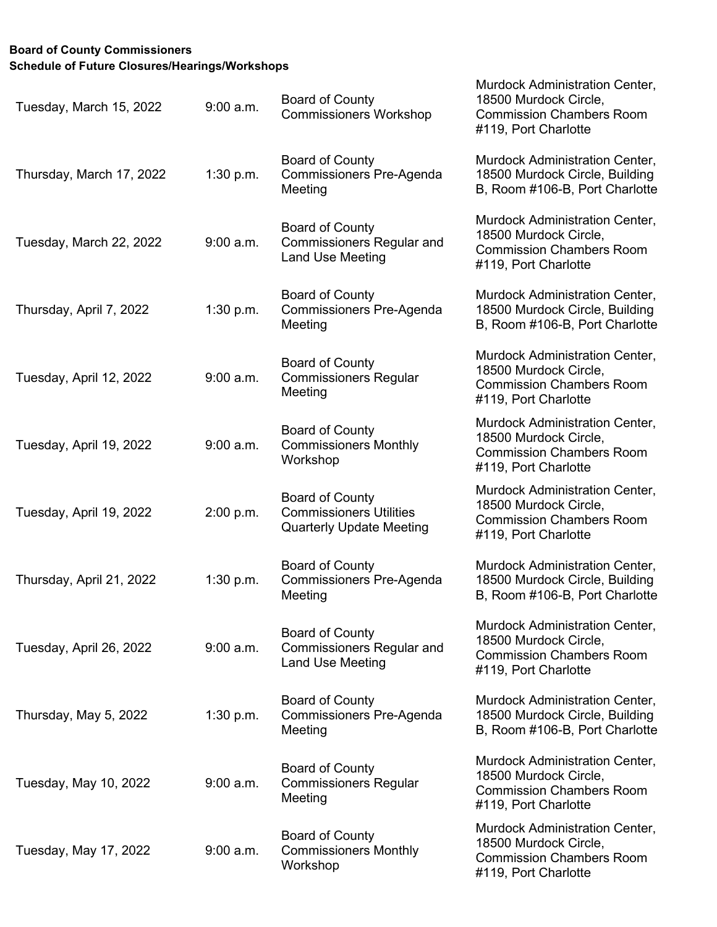## **Board of County Commissioners Schedule of Future Closures/Hearings/Workshops**

| Tuesday, March 15, 2022  | $9:00$ a.m. | <b>Board of County</b><br><b>Commissioners Workshop</b>                                     | <b>Murdock Administration Center,</b><br>18500 Murdock Circle,<br><b>Commission Chambers Room</b><br>#119, Port Charlotte |
|--------------------------|-------------|---------------------------------------------------------------------------------------------|---------------------------------------------------------------------------------------------------------------------------|
| Thursday, March 17, 2022 | 1:30 p.m.   | <b>Board of County</b><br><b>Commissioners Pre-Agenda</b><br>Meeting                        | Murdock Administration Center,<br>18500 Murdock Circle, Building<br>B, Room #106-B, Port Charlotte                        |
| Tuesday, March 22, 2022  | $9:00$ a.m. | <b>Board of County</b><br><b>Commissioners Regular and</b><br><b>Land Use Meeting</b>       | Murdock Administration Center,<br>18500 Murdock Circle,<br><b>Commission Chambers Room</b><br>#119, Port Charlotte        |
| Thursday, April 7, 2022  | 1:30 p.m.   | <b>Board of County</b><br><b>Commissioners Pre-Agenda</b><br>Meeting                        | Murdock Administration Center,<br>18500 Murdock Circle, Building<br>B, Room #106-B, Port Charlotte                        |
| Tuesday, April 12, 2022  | $9:00$ a.m. | <b>Board of County</b><br><b>Commissioners Regular</b><br>Meeting                           | Murdock Administration Center,<br>18500 Murdock Circle,<br><b>Commission Chambers Room</b><br>#119, Port Charlotte        |
| Tuesday, April 19, 2022  | $9:00$ a.m. | <b>Board of County</b><br><b>Commissioners Monthly</b><br>Workshop                          | Murdock Administration Center,<br>18500 Murdock Circle,<br><b>Commission Chambers Room</b><br>#119, Port Charlotte        |
| Tuesday, April 19, 2022  | 2:00 p.m.   | <b>Board of County</b><br><b>Commissioners Utilities</b><br><b>Quarterly Update Meeting</b> | Murdock Administration Center,<br>18500 Murdock Circle,<br><b>Commission Chambers Room</b><br>#119, Port Charlotte        |
| Thursday, April 21, 2022 | 1:30 p.m.   | <b>Board of County</b><br>Commissioners Pre-Agenda<br>Meeting                               | Murdock Administration Center,<br>18500 Murdock Circle, Building<br>B, Room #106-B, Port Charlotte                        |
| Tuesday, April 26, 2022  | $9:00$ a.m. | <b>Board of County</b><br><b>Commissioners Regular and</b><br><b>Land Use Meeting</b>       | Murdock Administration Center,<br>18500 Murdock Circle,<br><b>Commission Chambers Room</b><br>#119, Port Charlotte        |
| Thursday, May 5, 2022    | 1:30 p.m.   | <b>Board of County</b><br><b>Commissioners Pre-Agenda</b><br>Meeting                        | <b>Murdock Administration Center,</b><br>18500 Murdock Circle, Building<br>B, Room #106-B, Port Charlotte                 |
| Tuesday, May 10, 2022    | $9:00$ a.m. | <b>Board of County</b><br><b>Commissioners Regular</b><br>Meeting                           | Murdock Administration Center,<br>18500 Murdock Circle,<br><b>Commission Chambers Room</b><br>#119, Port Charlotte        |
| Tuesday, May 17, 2022    | $9:00$ a.m. | <b>Board of County</b><br><b>Commissioners Monthly</b><br>Workshop                          | Murdock Administration Center,<br>18500 Murdock Circle,<br><b>Commission Chambers Room</b><br>#119, Port Charlotte        |